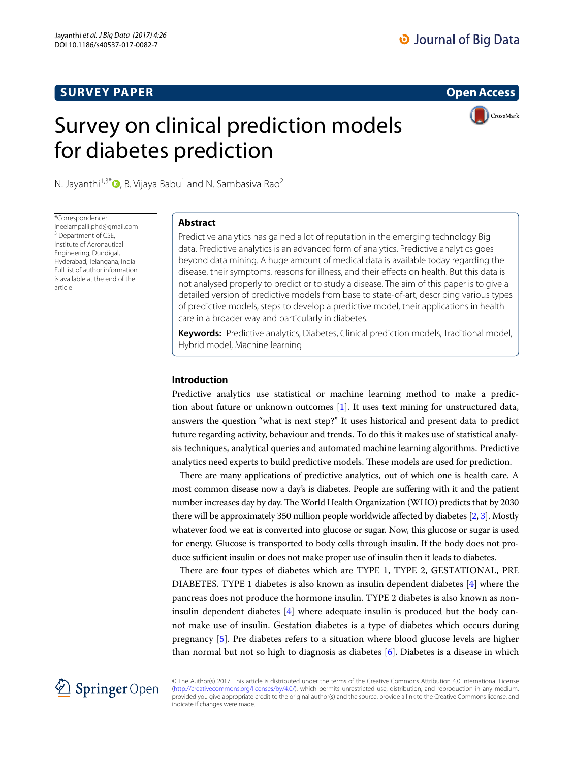# **SURVEY PAPER**

**Open Access**

# Survey on clinical prediction models for diabetes prediction



N. Jayanthi<sup>1,3\*</sup> (D[,](http://orcid.org/0000-0002-9756-0463) B. Vijaya Babu<sup>1</sup> and N. Sambasiva Rao<sup>2</sup>

\*Correspondence: jneelampalli.phd@gmail.com <sup>3</sup> Department of CSE, Institute of Aeronautical Engineering, Dundigal, Hyderabad, Telangana, India Full list of author information is available at the end of the article

# **Abstract**

Predictive analytics has gained a lot of reputation in the emerging technology Big data. Predictive analytics is an advanced form of analytics. Predictive analytics goes beyond data mining. A huge amount of medical data is available today regarding the disease, their symptoms, reasons for illness, and their efects on health. But this data is not analysed properly to predict or to study a disease. The aim of this paper is to give a detailed version of predictive models from base to state-of-art, describing various types of predictive models, steps to develop a predictive model, their applications in health care in a broader way and particularly in diabetes.

**Keywords:** Predictive analytics, Diabetes, Clinical prediction models, Traditional model, Hybrid model, Machine learning

## **Introduction**

Predictive analytics use statistical or machine learning method to make a prediction about future or unknown outcomes [[1\]](#page-13-0). It uses text mining for unstructured data, answers the question "what is next step?" It uses historical and present data to predict future regarding activity, behaviour and trends. To do this it makes use of statistical analysis techniques, analytical queries and automated machine learning algorithms. Predictive analytics need experts to build predictive models. These models are used for prediction.

There are many applications of predictive analytics, out of which one is health care. A most common disease now a day's is diabetes. People are sufering with it and the patient number increases day by day. The World Health Organization (WHO) predicts that by 2030 there will be approximately 350 million people worldwide afected by diabetes [\[2,](#page-13-1) [3\]](#page-13-2). Mostly whatever food we eat is converted into glucose or sugar. Now, this glucose or sugar is used for energy. Glucose is transported to body cells through insulin. If the body does not produce sufficient insulin or does not make proper use of insulin then it leads to diabetes.

There are four types of diabetes which are TYPE 1, TYPE 2, GESTATIONAL, PRE DIABETES. TYPE 1 diabetes is also known as insulin dependent diabetes [\[4\]](#page-13-3) where the pancreas does not produce the hormone insulin. TYPE 2 diabetes is also known as noninsulin dependent diabetes [[4](#page-13-3)] where adequate insulin is produced but the body cannot make use of insulin. Gestation diabetes is a type of diabetes which occurs during pregnancy [\[5\]](#page-13-4). Pre diabetes refers to a situation where blood glucose levels are higher than normal but not so high to diagnosis as diabetes [\[6](#page-13-5)]. Diabetes is a disease in which



© The Author(s) 2017. This article is distributed under the terms of the Creative Commons Attribution 4.0 International License [\(http://creativecommons.org/licenses/by/4.0/](http://creativecommons.org/licenses/by/4.0/)), which permits unrestricted use, distribution, and reproduction in any medium, provided you give appropriate credit to the original author(s) and the source, provide a link to the Creative Commons license, and indicate if changes were made.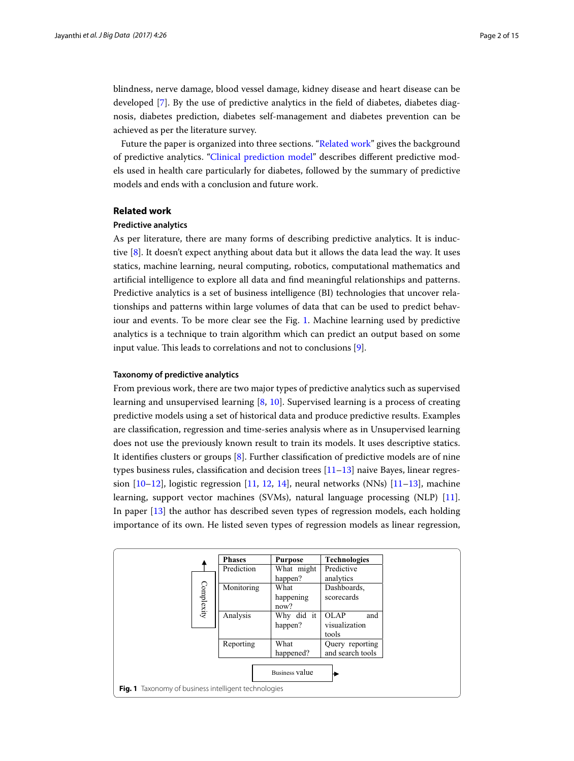blindness, nerve damage, blood vessel damage, kidney disease and heart disease can be developed [[7\]](#page-13-6). By the use of predictive analytics in the feld of diabetes, diabetes diagnosis, diabetes prediction, diabetes self-management and diabetes prevention can be achieved as per the literature survey.

Future the paper is organized into three sections. ["Related work"](#page-1-0) gives the background of predictive analytics. ["Clinical prediction model"](#page-5-0) describes diferent predictive models used in health care particularly for diabetes, followed by the summary of predictive models and ends with a conclusion and future work.

## <span id="page-1-0"></span>**Related work**

## **Predictive analytics**

As per literature, there are many forms of describing predictive analytics. It is inductive [\[8](#page-13-7)]. It doesn't expect anything about data but it allows the data lead the way. It uses statics, machine learning, neural computing, robotics, computational mathematics and artifcial intelligence to explore all data and fnd meaningful relationships and patterns. Predictive analytics is a set of business intelligence (BI) technologies that uncover relationships and patterns within large volumes of data that can be used to predict behaviour and events. To be more clear see the Fig. [1](#page-1-1). Machine learning used by predictive analytics is a technique to train algorithm which can predict an output based on some input value. This leads to correlations and not to conclusions  $[9]$ .

### **Taxonomy of predictive analytics**

From previous work, there are two major types of predictive analytics such as supervised learning and unsupervised learning [[8,](#page-13-7) [10\]](#page-13-9). Supervised learning is a process of creating predictive models using a set of historical data and produce predictive results. Examples are classifcation, regression and time-series analysis where as in Unsupervised learning does not use the previously known result to train its models. It uses descriptive statics. It identifes clusters or groups [[8\]](#page-13-7). Further classifcation of predictive models are of nine types business rules, classification and decision trees  $[11-13]$  $[11-13]$  $[11-13]$  naive Bayes, linear regression  $[10-12]$  $[10-12]$  $[10-12]$ , logistic regression  $[11, 12, 14]$  $[11, 12, 14]$  $[11, 12, 14]$  $[11, 12, 14]$  $[11, 12, 14]$  $[11, 12, 14]$  $[11, 12, 14]$ , neural networks (NNs)  $[11-13]$  $[11-13]$ , machine learning, support vector machines (SVMs), natural language processing (NLP) [\[11](#page-13-10)]. In paper [\[13](#page-13-11)] the author has described seven types of regression models, each holding importance of its own. He listed seven types of regression models as linear regression,

<span id="page-1-1"></span>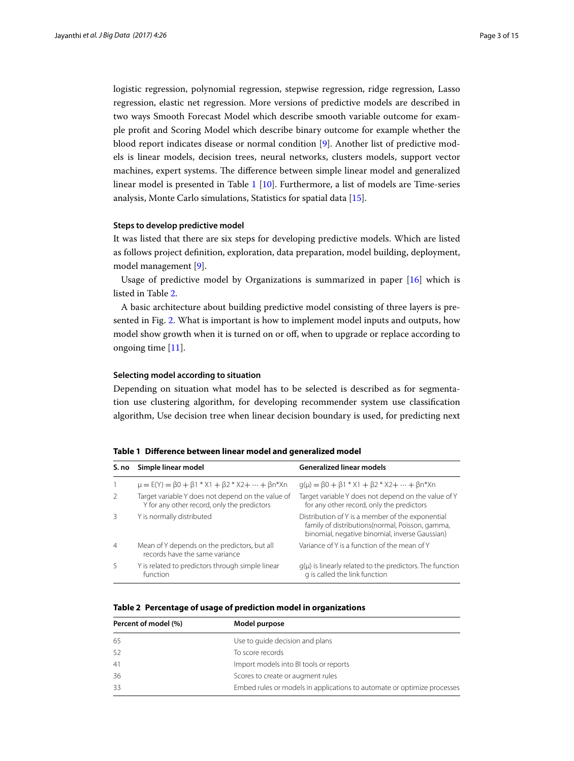logistic regression, polynomial regression, stepwise regression, ridge regression, Lasso regression, elastic net regression. More versions of predictive models are described in two ways Smooth Forecast Model which describe smooth variable outcome for example proft and Scoring Model which describe binary outcome for example whether the blood report indicates disease or normal condition [[9](#page-13-8)]. Another list of predictive models is linear models, decision trees, neural networks, clusters models, support vector machines, expert systems. The difference between simple linear model and generalized linear model is presented in Table  $1$  [\[10](#page-13-9)]. Furthermore, a list of models are Time-series analysis, Monte Carlo simulations, Statistics for spatial data [\[15](#page-13-14)].

## **Steps to develop predictive model**

It was listed that there are six steps for developing predictive models. Which are listed as follows project defnition, exploration, data preparation, model building, deployment, model management [\[9](#page-13-8)].

Usage of predictive model by Organizations is summarized in paper [\[16](#page-13-15)] which is listed in Table [2.](#page-2-1)

A basic architecture about building predictive model consisting of three layers is presented in Fig. [2.](#page-3-0) What is important is how to implement model inputs and outputs, how model show growth when it is turned on or off, when to upgrade or replace according to ongoing time [\[11](#page-13-10)].

#### **Selecting model according to situation**

Depending on situation what model has to be selected is described as for segmentation use clustering algorithm, for developing recommender system use classifcation algorithm, Use decision tree when linear decision boundary is used, for predicting next

| S. no          | Simple linear model                                                                              | <b>Generalized linear models</b>                                                                                                                      |
|----------------|--------------------------------------------------------------------------------------------------|-------------------------------------------------------------------------------------------------------------------------------------------------------|
|                | $\mu = E(Y) = \beta 0 + \beta 1 * X1 + \beta 2 * X2 + \dots + \beta n * Xn$                      | $q(\mu) = \beta 0 + \beta 1 * \lambda 1 + \beta 2 * \lambda 2 + \dots + \beta n * \lambda n$                                                          |
|                | Target variable Y does not depend on the value of<br>Y for any other record, only the predictors | Target variable Y does not depend on the value of Y<br>for any other record, only the predictors                                                      |
|                | Y is normally distributed                                                                        | Distribution of Y is a member of the exponential<br>family of distributions(normal, Poisson, gamma,<br>binomial, negative binomial, inverse Gaussian) |
| $\overline{4}$ | Mean of Y depends on the predictors, but all<br>records have the same variance                   | Variance of Y is a function of the mean of Y                                                                                                          |
| 5              | Y is related to predictors through simple linear<br>function                                     | $q(\mu)$ is linearly related to the predictors. The function<br>g is called the link function                                                         |

<span id="page-2-0"></span>**Table 1 Diference between linear model and generalized model**

<span id="page-2-1"></span>**Table 2 Percentage of usage of prediction model in organizations**

| Percent of model (%) | Model purpose                                                           |
|----------------------|-------------------------------------------------------------------------|
| 65                   | Use to quide decision and plans                                         |
| -52                  | To score records                                                        |
| 41                   | Import models into BI tools or reports                                  |
| 36                   | Scores to create or augment rules                                       |
| 33                   | Embed rules or models in applications to automate or optimize processes |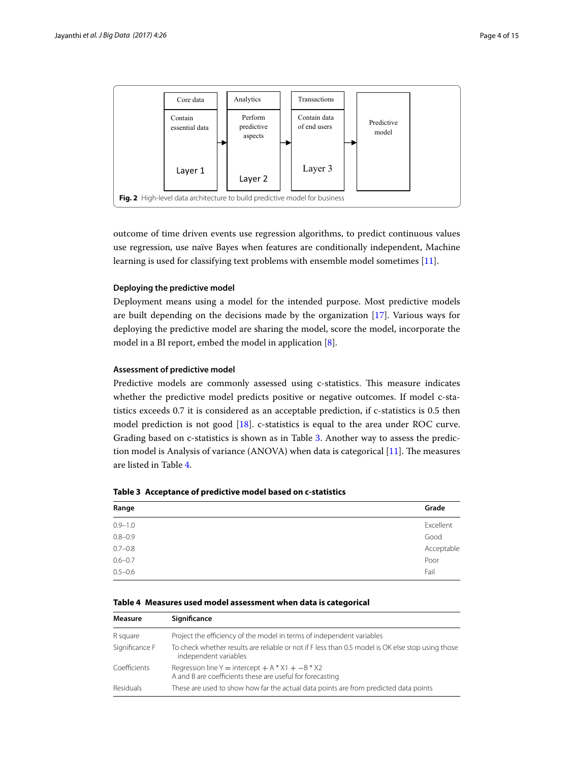

<span id="page-3-0"></span>outcome of time driven events use regression algorithms, to predict continuous values use regression, use naïve Bayes when features are conditionally independent, Machine learning is used for classifying text problems with ensemble model sometimes [\[11](#page-13-10)].

### **Deploying the predictive model**

Deployment means using a model for the intended purpose. Most predictive models are built depending on the decisions made by the organization [[17\]](#page-13-16). Various ways for deploying the predictive model are sharing the model, score the model, incorporate the model in a BI report, embed the model in application [[8\]](#page-13-7).

## **Assessment of predictive model**

Predictive models are commonly assessed using c-statistics. This measure indicates whether the predictive model predicts positive or negative outcomes. If model c-statistics exceeds 0.7 it is considered as an acceptable prediction, if c-statistics is 0.5 then model prediction is not good [\[18](#page-13-17)]. c-statistics is equal to the area under ROC curve. Grading based on c-statistics is shown as in Table [3](#page-3-1). Another way to assess the prediction model is Analysis of variance (ANOVA) when data is categorical  $[11]$  $[11]$ . The measures are listed in Table [4.](#page-3-2)

| Range       | Grade      |
|-------------|------------|
| $0.9 - 1.0$ | Excellent  |
| $0.8 - 0.9$ | Good       |
| $0.7 - 0.8$ | Acceptable |
| $0.6 - 0.7$ | Poor       |
| $0.5 - 0.6$ | Fail       |

<span id="page-3-1"></span>**Table 3 Acceptance of predictive model based on c-statistics**

<span id="page-3-2"></span>

|  |  |  | Table 4 Measures used model assessment when data is categorical |  |  |  |
|--|--|--|-----------------------------------------------------------------|--|--|--|
|--|--|--|-----------------------------------------------------------------|--|--|--|

| Measure          | Significance                                                                                                               |
|------------------|----------------------------------------------------------------------------------------------------------------------------|
| R square         | Project the efficiency of the model in terms of independent variables                                                      |
| Significance F   | To check whether results are reliable or not if F less than 0.5 model is OK else stop using those<br>independent variables |
| Coefficients     | Regression line Y = intercept + $A * X1 + -B * X2$<br>A and B are coefficients these are useful for forecasting            |
| <b>Residuals</b> | These are used to show how far the actual data points are from predicted data points                                       |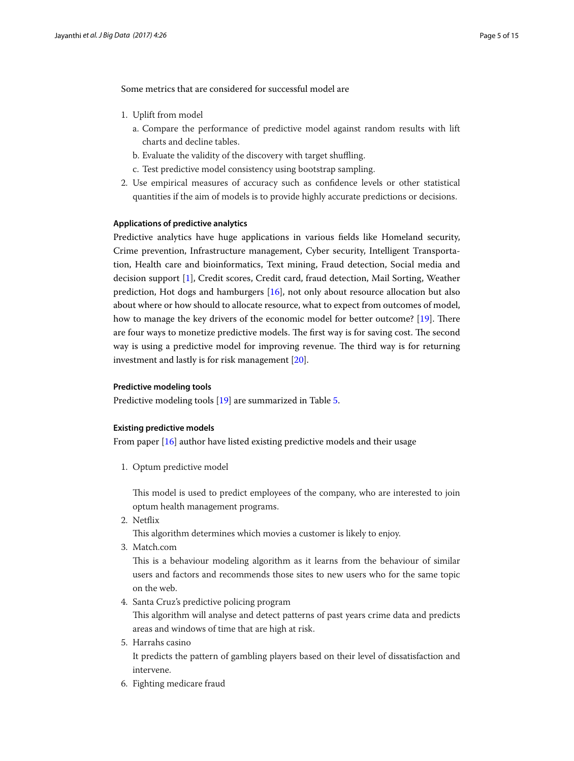Some metrics that are considered for successful model are

- 1. Uplift from model
	- a. Compare the performance of predictive model against random results with lift charts and decline tables.
	- b. Evaluate the validity of the discovery with target shufing.
	- c. Test predictive model consistency using bootstrap sampling.
- 2. Use empirical measures of accuracy such as confdence levels or other statistical quantities if the aim of models is to provide highly accurate predictions or decisions.

#### **Applications of predictive analytics**

Predictive analytics have huge applications in various felds like Homeland security, Crime prevention, Infrastructure management, Cyber security, Intelligent Transportation, Health care and bioinformatics, Text mining, Fraud detection, Social media and decision support [[1\]](#page-13-0), Credit scores, Credit card, fraud detection, Mail Sorting, Weather prediction, Hot dogs and hamburgers [\[16](#page-13-15)], not only about resource allocation but also about where or how should to allocate resource, what to expect from outcomes of model, how to manage the key drivers of the economic model for better outcome? [[19\]](#page-13-18). There are four ways to monetize predictive models. The first way is for saving cost. The second way is using a predictive model for improving revenue. The third way is for returning investment and lastly is for risk management [\[20](#page-13-19)].

#### **Predictive modeling tools**

Predictive modeling tools [\[19](#page-13-18)] are summarized in Table [5.](#page-5-1)

#### **Existing predictive models**

From paper [[16\]](#page-13-15) author have listed existing predictive models and their usage

1. Optum predictive model

This model is used to predict employees of the company, who are interested to join optum health management programs.

2. Netfix

This algorithm determines which movies a customer is likely to enjoy.

3. Match.com

This is a behaviour modeling algorithm as it learns from the behaviour of similar users and factors and recommends those sites to new users who for the same topic on the web.

4. Santa Cruz's predictive policing program

This algorithm will analyse and detect patterns of past years crime data and predicts areas and windows of time that are high at risk.

5. Harrahs casino

It predicts the pattern of gambling players based on their level of dissatisfaction and intervene.

6. Fighting medicare fraud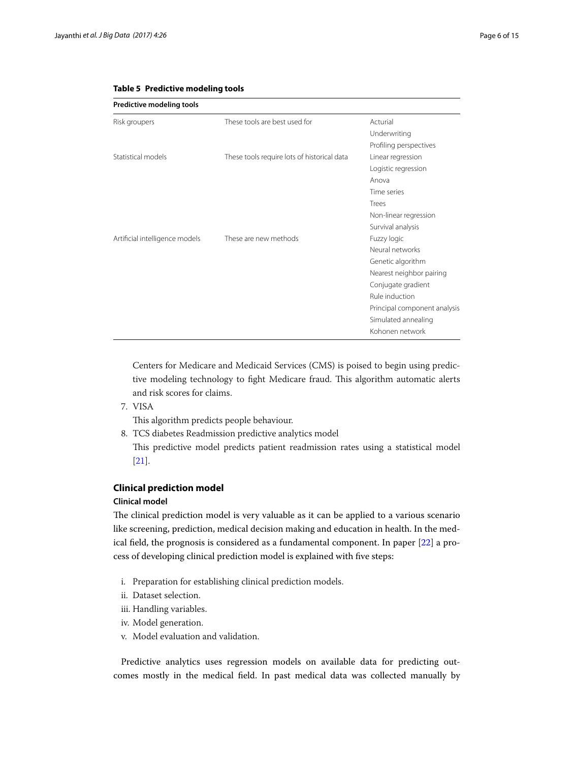| Risk groupers                  | These tools are best used for               | Acturial                     |
|--------------------------------|---------------------------------------------|------------------------------|
|                                |                                             | Underwriting                 |
|                                |                                             | Profiling perspectives       |
| Statistical models             | These tools require lots of historical data | Linear regression            |
|                                |                                             | Logistic regression          |
|                                |                                             | Anova                        |
|                                |                                             | Time series                  |
|                                |                                             | Trees                        |
|                                |                                             | Non-linear regression        |
|                                |                                             | Survival analysis            |
| Artificial intelligence models | These are new methods                       | Fuzzy logic                  |
|                                |                                             | Neural networks              |
|                                |                                             | Genetic algorithm            |
|                                |                                             | Nearest neighbor pairing     |
|                                |                                             | Conjugate gradient           |
|                                |                                             | Rule induction               |
|                                |                                             | Principal component analysis |
|                                |                                             | Simulated annealing          |
|                                |                                             | Kohonen network              |

## <span id="page-5-1"></span>**Table 5 Predictive modeling tools**

Centers for Medicare and Medicaid Services (CMS) is poised to begin using predictive modeling technology to fight Medicare fraud. This algorithm automatic alerts and risk scores for claims.

7. VISA

This algorithm predicts people behaviour.

8. TCS diabetes Readmission predictive analytics model

This predictive model predicts patient readmission rates using a statistical model [[21](#page-13-20)].

# <span id="page-5-0"></span>**Clinical prediction model**

### **Clinical model**

The clinical prediction model is very valuable as it can be applied to a various scenario like screening, prediction, medical decision making and education in health. In the medical feld, the prognosis is considered as a fundamental component. In paper [\[22\]](#page-13-21) a process of developing clinical prediction model is explained with fve steps:

- i. Preparation for establishing clinical prediction models.
- ii. Dataset selection.
- iii. Handling variables.
- iv. Model generation.
- v. Model evaluation and validation.

Predictive analytics uses regression models on available data for predicting outcomes mostly in the medical feld. In past medical data was collected manually by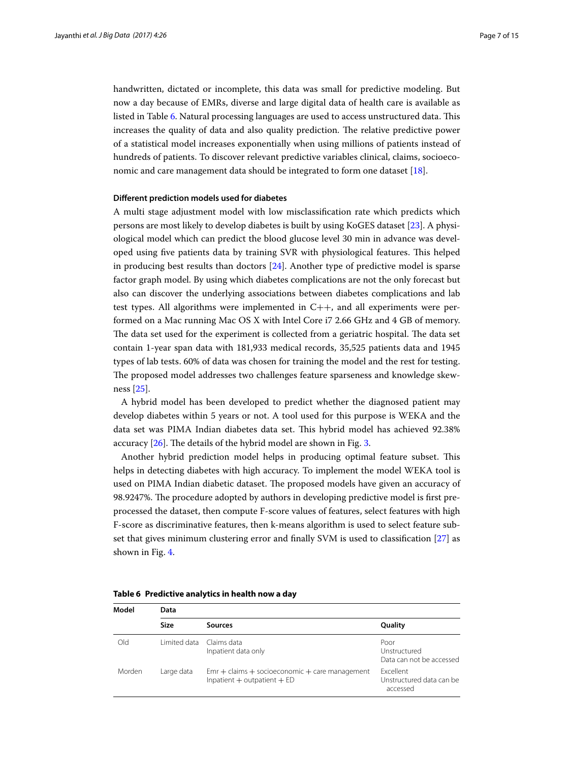handwritten, dictated or incomplete, this data was small for predictive modeling. But now a day because of EMRs, diverse and large digital data of health care is available as listed in Table [6.](#page-6-0) Natural processing languages are used to access unstructured data. This increases the quality of data and also quality prediction. The relative predictive power of a statistical model increases exponentially when using millions of patients instead of hundreds of patients. To discover relevant predictive variables clinical, claims, socioeconomic and care management data should be integrated to form one dataset [[18\]](#page-13-17).

## **Diferent prediction models used for diabetes**

A multi stage adjustment model with low misclassifcation rate which predicts which persons are most likely to develop diabetes is built by using KoGES dataset [[23\]](#page-13-22). A physiological model which can predict the blood glucose level 30 min in advance was developed using five patients data by training SVR with physiological features. This helped in producing best results than doctors  $[24]$  $[24]$ . Another type of predictive model is sparse factor graph model. By using which diabetes complications are not the only forecast but also can discover the underlying associations between diabetes complications and lab test types. All algorithms were implemented in  $C_{++}$ , and all experiments were performed on a Mac running Mac OS X with Intel Core i7 2.66 GHz and 4 GB of memory. The data set used for the experiment is collected from a geriatric hospital. The data set contain 1-year span data with 181,933 medical records, 35,525 patients data and 1945 types of lab tests. 60% of data was chosen for training the model and the rest for testing. The proposed model addresses two challenges feature sparseness and knowledge skewness [[25\]](#page-13-24).

A hybrid model has been developed to predict whether the diagnosed patient may develop diabetes within 5 years or not. A tool used for this purpose is WEKA and the data set was PIMA Indian diabetes data set. This hybrid model has achieved 92.38% accuracy  $[26]$  $[26]$ . The details of the hybrid model are shown in Fig. [3.](#page-7-0)

Another hybrid prediction model helps in producing optimal feature subset. Tis helps in detecting diabetes with high accuracy. To implement the model WEKA tool is used on PIMA Indian diabetic dataset. The proposed models have given an accuracy of 98.9247%. The procedure adopted by authors in developing predictive model is first preprocessed the dataset, then compute F-score values of features, select features with high F-score as discriminative features, then k-means algorithm is used to select feature subset that gives minimum clustering error and fnally SVM is used to classifcation [[27](#page-13-26)] as shown in Fig. [4](#page-7-1).

| Model      | Data          |                                                                                     |                                                          |
|------------|---------------|-------------------------------------------------------------------------------------|----------------------------------------------------------|
|            | <b>Size</b>   | <b>Sources</b>                                                                      | Quality                                                  |
| <b>DIG</b> | l imited data | Claims data<br>Inpatient data only                                                  | Poor<br>Unstructured<br>Data can not be accessed         |
| Morden     | Large data    | $Emr + claims + socioeconomic + care management$<br>Inpatient $+$ outpatient $+$ ED | <b>Excellent</b><br>Unstructured data can be<br>accessed |

<span id="page-6-0"></span>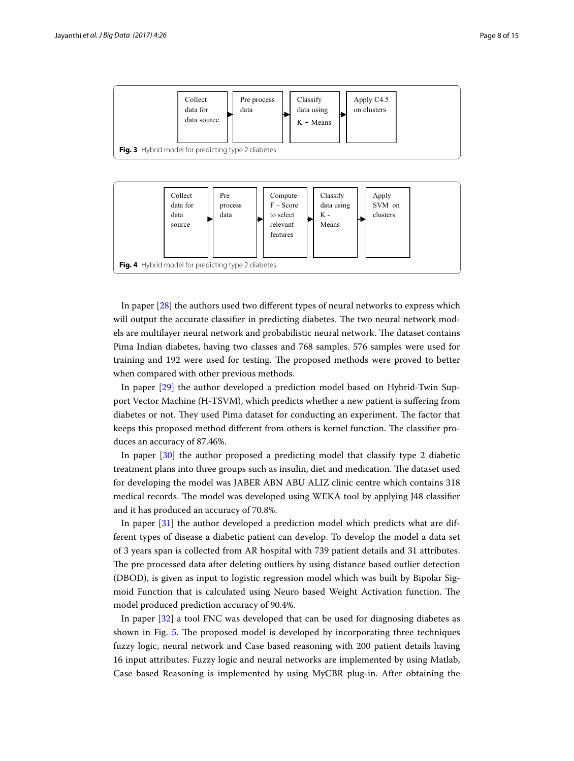

<span id="page-7-0"></span>

<span id="page-7-1"></span>In paper [[28\]](#page-13-27) the authors used two diferent types of neural networks to express which will output the accurate classifier in predicting diabetes. The two neural network models are multilayer neural network and probabilistic neural network. The dataset contains Pima Indian diabetes, having two classes and 768 samples. 576 samples were used for training and 192 were used for testing. The proposed methods were proved to better when compared with other previous methods.

In paper [\[29\]](#page-13-28) the author developed a prediction model based on Hybrid-Twin Support Vector Machine (H-TSVM), which predicts whether a new patient is sufering from diabetes or not. They used Pima dataset for conducting an experiment. The factor that keeps this proposed method different from others is kernel function. The classifier produces an accuracy of 87.46%.

In paper [[30\]](#page-13-29) the author proposed a predicting model that classify type 2 diabetic treatment plans into three groups such as insulin, diet and medication. The dataset used for developing the model was JABER ABN ABU ALIZ clinic centre which contains 318 medical records. The model was developed using WEKA tool by applying J48 classifier and it has produced an accuracy of 70.8%.

In paper [[31\]](#page-13-30) the author developed a prediction model which predicts what are different types of disease a diabetic patient can develop. To develop the model a data set of 3 years span is collected from AR hospital with 739 patient details and 31 attributes. The pre processed data after deleting outliers by using distance based outlier detection (DBOD), is given as input to logistic regression model which was built by Bipolar Sigmoid Function that is calculated using Neuro based Weight Activation function. The model produced prediction accuracy of 90.4%.

In paper [\[32](#page-14-0)] a tool FNC was developed that can be used for diagnosing diabetes as shown in Fig. [5](#page-8-0). The proposed model is developed by incorporating three techniques fuzzy logic, neural network and Case based reasoning with 200 patient details having 16 input attributes. Fuzzy logic and neural networks are implemented by using Matlab, Case based Reasoning is implemented by using MyCBR plug-in. After obtaining the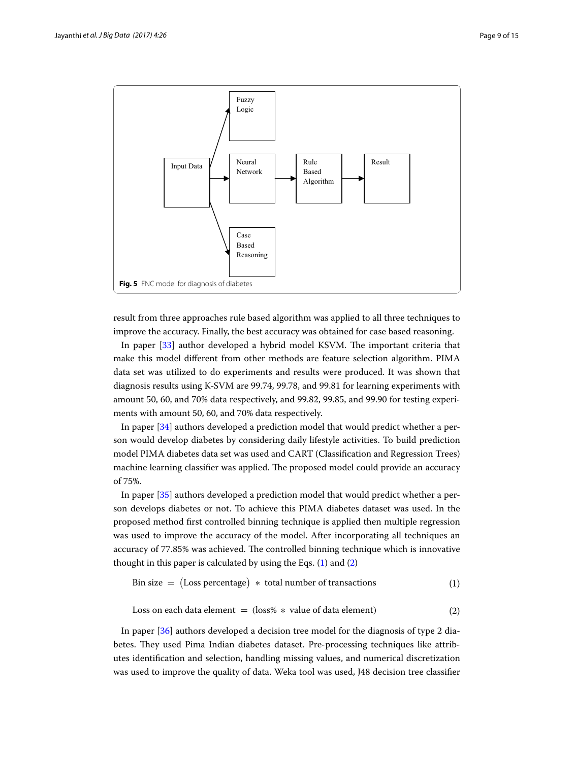

<span id="page-8-0"></span>result from three approaches rule based algorithm was applied to all three techniques to improve the accuracy. Finally, the best accuracy was obtained for case based reasoning.

In paper [\[33](#page-14-1)] author developed a hybrid model KSVM. The important criteria that make this model diferent from other methods are feature selection algorithm. PIMA data set was utilized to do experiments and results were produced. It was shown that diagnosis results using K-SVM are 99.74, 99.78, and 99.81 for learning experiments with amount 50, 60, and 70% data respectively, and 99.82, 99.85, and 99.90 for testing experiments with amount 50, 60, and 70% data respectively.

In paper [[34\]](#page-14-2) authors developed a prediction model that would predict whether a person would develop diabetes by considering daily lifestyle activities. To build prediction model PIMA diabetes data set was used and CART (Classifcation and Regression Trees) machine learning classifier was applied. The proposed model could provide an accuracy of 75%.

In paper [[35\]](#page-14-3) authors developed a prediction model that would predict whether a person develops diabetes or not. To achieve this PIMA diabetes dataset was used. In the proposed method frst controlled binning technique is applied then multiple regression was used to improve the accuracy of the model. After incorporating all techniques an accuracy of 77.85% was achieved. The controlled binning technique which is innovative thought in this paper is calculated by using the Eqs.  $(1)$  $(1)$  and  $(2)$  $(2)$ 

<span id="page-8-1"></span>Bin size = 
$$
(Loss percentage) * total number of transactions
$$
 (1)

<span id="page-8-2"></span>Loss on each data element = 
$$
(loss\%
$$
 \* value of data element) (2)

In paper [\[36](#page-14-4)] authors developed a decision tree model for the diagnosis of type 2 diabetes. They used Pima Indian diabetes dataset. Pre-processing techniques like attributes identifcation and selection, handling missing values, and numerical discretization was used to improve the quality of data. Weka tool was used, J48 decision tree classifer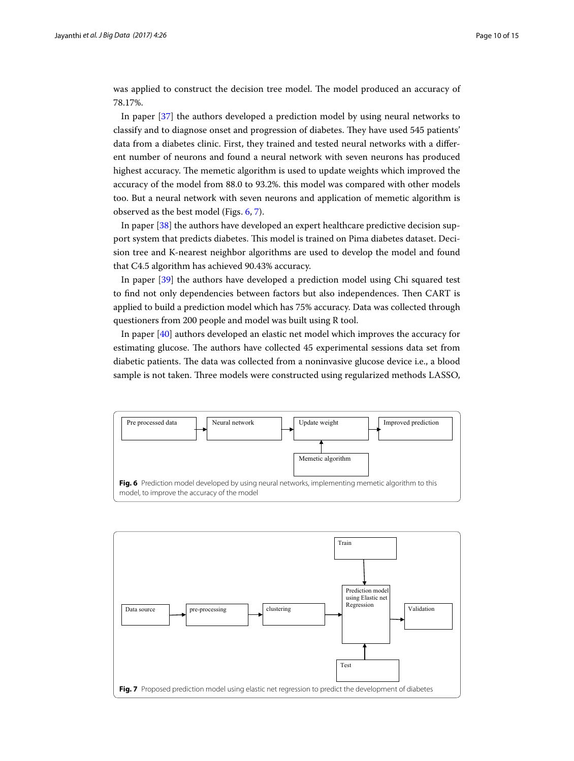was applied to construct the decision tree model. The model produced an accuracy of 78.17%.

In paper [\[37](#page-14-5)] the authors developed a prediction model by using neural networks to classify and to diagnose onset and progression of diabetes. They have used 545 patients' data from a diabetes clinic. First, they trained and tested neural networks with a diferent number of neurons and found a neural network with seven neurons has produced highest accuracy. The memetic algorithm is used to update weights which improved the accuracy of the model from 88.0 to 93.2%. this model was compared with other models too. But a neural network with seven neurons and application of memetic algorithm is observed as the best model (Figs. [6](#page-9-0), [7\)](#page-9-1).

In paper [\[38](#page-14-6)] the authors have developed an expert healthcare predictive decision support system that predicts diabetes. This model is trained on Pima diabetes dataset. Decision tree and K-nearest neighbor algorithms are used to develop the model and found that C4.5 algorithm has achieved 90.43% accuracy.

In paper [\[39](#page-14-7)] the authors have developed a prediction model using Chi squared test to find not only dependencies between factors but also independences. Then CART is applied to build a prediction model which has 75% accuracy. Data was collected through questioners from 200 people and model was built using R tool.

In paper [[40\]](#page-14-8) authors developed an elastic net model which improves the accuracy for estimating glucose. The authors have collected 45 experimental sessions data set from diabetic patients. The data was collected from a noninvasive glucose device i.e., a blood sample is not taken. Three models were constructed using regularized methods LASSO,



<span id="page-9-1"></span><span id="page-9-0"></span>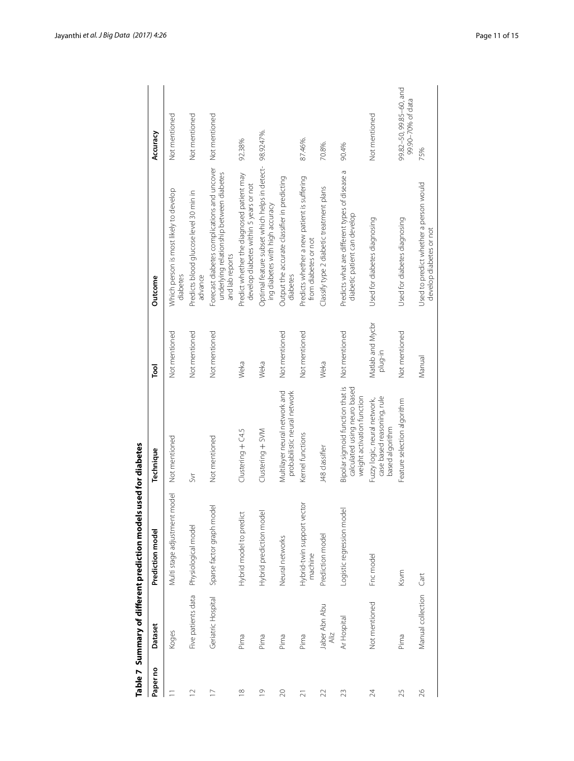| Paper no       | Dataset               | Prediction model                      | Technique                                                                                      | آه<br>P                     | Outcome                                                                                                    | Accuracy                                     |
|----------------|-----------------------|---------------------------------------|------------------------------------------------------------------------------------------------|-----------------------------|------------------------------------------------------------------------------------------------------------|----------------------------------------------|
|                | Koges                 | Multi stage adjustment model          | Not mentioned                                                                                  | Not mentioned               | Which person is most likely to develop<br>diabetes                                                         | Not mentioned                                |
| $\supseteq$    | Five patients data    | Physiological model                   | ŠИ                                                                                             | Not mentioned               | Predicts blood glucose level 30 min in<br>advance                                                          | Not mentioned                                |
|                | Geriatric Hospital    | Sparse factor graph model             | Not mentioned                                                                                  | Not mentioned               | Forecast diabetes complications and uncover<br>underlying relationship between diabetes<br>and lab reports | Not mentioned                                |
| $\infty$       | Pima                  | Hybrid model to predict               | $Clustering + CA.5$                                                                            | Weka                        | Predict whether the diagnosed patient may<br>develop diabetes within 5 years or not                        | 92.38%                                       |
| $\overline{0}$ | Pima                  | Hybrid prediction model               | Clustering + SVM                                                                               | Weka                        | Optimal feature subset which helps in detect-<br>ing diabetes with high accuracy                           | 98.9247%                                     |
| $\approx$      | Pima                  | Neural networks                       | Multilayer neural network and<br>probabilistic neural network                                  | Not mentioned               | Output the accurate classifier in predicting<br>diabetes                                                   |                                              |
| ಸ              | Pima                  | Hybrid-twin support vector<br>machine | Kernel functions                                                                               | Not mentioned               | Predicts whether a new patient is suffering<br>from diabetes or not                                        | 87.46%                                       |
| 22             | Jaber Abn Abu<br>Aliz | Prediction model                      | J48 classifier                                                                                 | Weka                        | Classify type 2 diabetic treatment plans                                                                   | 70.8%.                                       |
| 23             | Ar Hospital           | Logistic regression model             | Bipolar sigmoid function that is<br>calculated using neuro based<br>weight activation function | Not mentioned               | Predicts what are different types of disease a<br>diabetic patient can develop                             | 90.4%                                        |
| 24             | Not mentioned         | Finc model                            | case based reasoning, rule<br>Fuzzy logic, neural network,<br>based algorithm                  | Matlab and Mycbr<br>plug-in | Used for diabetes diagnosing                                                                               | Not mentioned                                |
| 25             | Pima                  | Ksvm                                  | Feature selection algorithm                                                                    | Not mentioned               | Used for diabetes diagnosing                                                                               | 99.82-50, 99.85-60, and<br>99.90-70% of data |
| 26             | Manual collection     | Cart                                  |                                                                                                | Manual                      | Used to predict whether a person would<br>develop diabetes or not                                          | 75%                                          |

<span id="page-10-0"></span>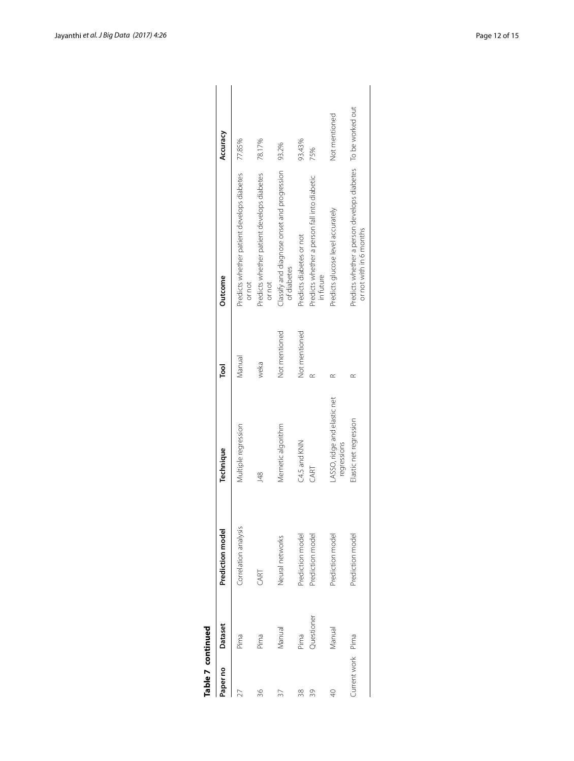| Table 7 continued |                |                      |                                             |               |                                                                                          |               |
|-------------------|----------------|----------------------|---------------------------------------------|---------------|------------------------------------------------------------------------------------------|---------------|
| Paper no          | <b>Dataset</b> | Prediction model     | Technique                                   | <u>l</u> ool  | Outcome                                                                                  | Accuracy      |
| 27                | Pima           | Correlation analysis | Multiple regression                         | Manual        | Predicts whether patient develops diabetes<br>or not                                     | 77.85%        |
| 36                | Pima           | CART                 | $\frac{48}{5}$                              | weka          | Predicts whether patient develops diabetes<br>or not                                     | 78.17%        |
| 57                | Manual         | Neural networks      | Memetic algorithm                           | Not mentioned | Classify and diagnose onset and progression<br>of diabetes                               | 93.2%         |
| 38                | Pima           | Prediction model     | C4.5 and KNN                                | Not mentioned | Predicts diabetes or not                                                                 | 93.43%        |
| 39                | Questioner     | Prediction model     | CART                                        |               | Predicts whether a person fall into diabetic<br>in future                                | 75%           |
| $\overline{P}$    | Manual         | Prediction model     | LASSO, ridge and elastic net<br>regressions | ∝             | Predicts glucose level accurately                                                        | Not mentioned |
| Lurrent work Pima |                | Prediction model     | Elastic net regression                      |               | Predicts whether a person develops diabetes  To be worked out<br>or not with in 6 months |               |
|                   |                |                      |                                             |               |                                                                                          |               |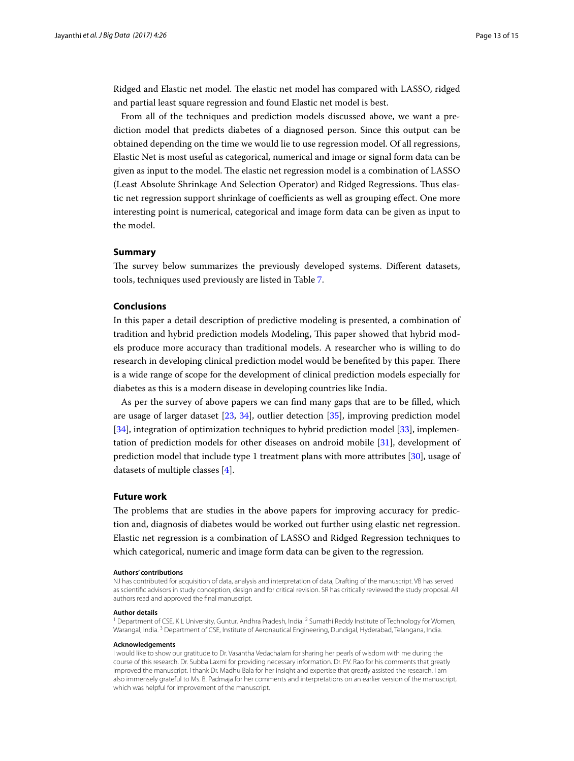Ridged and Elastic net model. The elastic net model has compared with LASSO, ridged and partial least square regression and found Elastic net model is best.

From all of the techniques and prediction models discussed above, we want a prediction model that predicts diabetes of a diagnosed person. Since this output can be obtained depending on the time we would lie to use regression model. Of all regressions, Elastic Net is most useful as categorical, numerical and image or signal form data can be given as input to the model. The elastic net regression model is a combination of LASSO (Least Absolute Shrinkage And Selection Operator) and Ridged Regressions. Tus elastic net regression support shrinkage of coefficients as well as grouping effect. One more interesting point is numerical, categorical and image form data can be given as input to the model.

#### **Summary**

The survey below summarizes the previously developed systems. Different datasets, tools, techniques used previously are listed in Table [7](#page-10-0).

#### **Conclusions**

In this paper a detail description of predictive modeling is presented, a combination of tradition and hybrid prediction models Modeling, This paper showed that hybrid models produce more accuracy than traditional models. A researcher who is willing to do research in developing clinical prediction model would be benefited by this paper. There is a wide range of scope for the development of clinical prediction models especially for diabetes as this is a modern disease in developing countries like India.

As per the survey of above papers we can fnd many gaps that are to be flled, which are usage of larger dataset [\[23](#page-13-22), [34](#page-14-2)], outlier detection [\[35](#page-14-3)], improving prediction model [[34\]](#page-14-2), integration of optimization techniques to hybrid prediction model [\[33\]](#page-14-1), implementation of prediction models for other diseases on android mobile [[31\]](#page-13-30), development of prediction model that include type 1 treatment plans with more attributes [[30](#page-13-29)], usage of datasets of multiple classes [\[4\]](#page-13-3).

#### **Future work**

The problems that are studies in the above papers for improving accuracy for prediction and, diagnosis of diabetes would be worked out further using elastic net regression. Elastic net regression is a combination of LASSO and Ridged Regression techniques to which categorical, numeric and image form data can be given to the regression.

#### **Authors' contributions**

NJ has contributed for acquisition of data, analysis and interpretation of data, Drafting of the manuscript. VB has served as scientifc advisors in study conception, design and for critical revision. SR has critically reviewed the study proposal. All authors read and approved the fnal manuscript.

#### **Author details**

<sup>1</sup> Department of CSE, K L University, Guntur, Andhra Pradesh, India. <sup>2</sup> Sumathi Reddy Institute of Technology for Women, Warangal, India. 3 Department of CSE, Institute of Aeronautical Engineering, Dundigal, Hyderabad, Telangana, India.

#### **Acknowledgements**

I would like to show our gratitude to Dr. Vasantha Vedachalam for sharing her pearls of wisdom with me during the course of this research. Dr. Subba Laxmi for providing necessary information. Dr. P.V. Rao for his comments that greatly improved the manuscript. I thank Dr. Madhu Bala for her insight and expertise that greatly assisted the research. I am also immensely grateful to Ms. B. Padmaja for her comments and interpretations on an earlier version of the manuscript, which was helpful for improvement of the manuscript.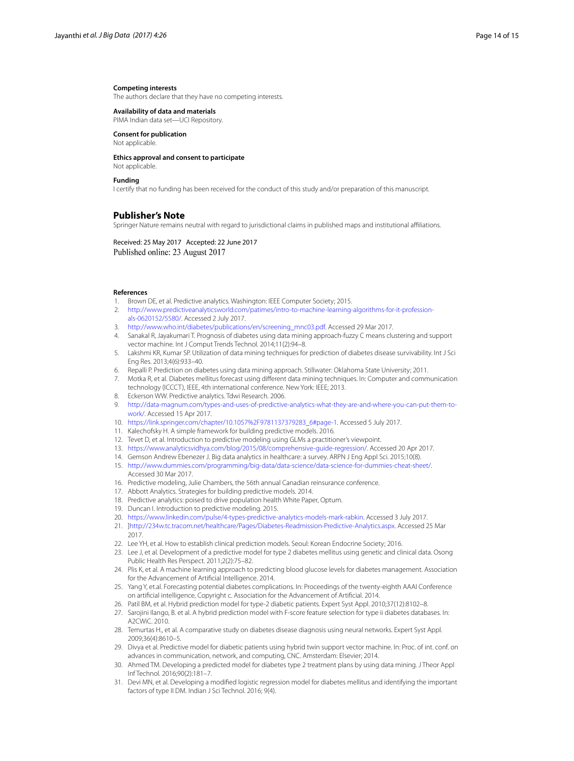#### **Competing interests**

The authors declare that they have no competing interests.

#### **Availability of data and materials**

PIMA Indian data set—UCI Repository.

#### **Consent for publication**

Not applicable.

#### **Ethics approval and consent to participate**

Not applicable.

#### **Funding**

I certify that no funding has been received for the conduct of this study and/or preparation of this manuscript.

#### **Publisher's Note**

Springer Nature remains neutral with regard to jurisdictional claims in published maps and institutional afliations.

Received: 25 May 2017 Accepted: 22 June 2017 Published online: 23 August 2017

#### **References**

- <span id="page-13-0"></span>1. Brown DE, et al. Predictive analytics. Washington: IEEE Computer Society; 2015.
- <span id="page-13-1"></span>2. [http://www.predictiveanalyticsworld.com/patimes/intro-to-machine-learning-algorithms-for-it-profession](http://www.predictiveanalyticsworld.com/patimes/intro-to-machine-learning-algorithms-for-it-professionals-0620152/5580/)[als-0620152/5580/](http://www.predictiveanalyticsworld.com/patimes/intro-to-machine-learning-algorithms-for-it-professionals-0620152/5580/). Accessed 2 July 2017.
- <span id="page-13-2"></span>3. [http://www.who.int/diabetes/publications/en/screening\\_mnc03.pdf.](http://www.who.int/diabetes/publications/en/screening_mnc03.pdf) Accessed 29 Mar 2017.
- <span id="page-13-3"></span>4. Sanakal R, Jayakumari T. Prognosis of diabetes using data mining approach-fuzzy C means clustering and support vector machine. Int J Comput Trends Technol. 2014;11(2):94–8.
- <span id="page-13-4"></span>5. Lakshmi KR, Kumar SP. Utilization of data mining techniques for prediction of diabetes disease survivability. Int J Sci Eng Res. 2013;4(6):933–40.
- <span id="page-13-5"></span>6. Repalli P. Prediction on diabetes using data mining approach. Stillwater: Oklahoma State University; 2011.
- <span id="page-13-6"></span>7. Motka R, et al. Diabetes mellitus forecast using diferent data mining techniques. In: Computer and communication technology (ICCCT), IEEE, 4th international conference. New York: IEEE; 2013.
- <span id="page-13-7"></span>8. Eckerson WW. Predictive analytics. Tdwi Research. 2006.
- <span id="page-13-8"></span>9. [http://data-magnum.com/types-and-uses-of-predictive-analytics-what-they-are-and-where-you-can-put-them-to](http://data-magnum.com/types-and-uses-of-predictive-analytics-what-they-are-and-where-you-can-put-them-to-work/)[work/](http://data-magnum.com/types-and-uses-of-predictive-analytics-what-they-are-and-where-you-can-put-them-to-work/). Accessed 15 Apr 2017.
- <span id="page-13-9"></span>10. [https://link.springer.com/chapter/10.1057%2F9781137379283\\_6#page-1.](https://link.springer.com/chapter/10.1057%252F9781137379283_6%23page-1) Accessed 5 July 2017.
- <span id="page-13-10"></span>11. Kalechofsky H. A simple framework for building predictive models. 2016.
- <span id="page-13-12"></span>12. Tevet D, et al. Introduction to predictive modeling using GLMs a practitioner's viewpoint.
- <span id="page-13-11"></span>13. [https://www.analyticsvidhya.com/blog/2015/08/comprehensive-guide-regression/.](https://www.analyticsvidhya.com/blog/2015/08/comprehensive-guide-regression/) Accessed 20 Apr 2017.
- <span id="page-13-13"></span>14. Gemson Andrew Ebenezer J. Big data analytics in healthcare: a survey. ARPN J Eng Appl Sci. 2015;10(8).
- <span id="page-13-14"></span>15. <http://www.dummies.com/programming/big-data/data-science/data-science-for-dummies-cheat-sheet/>. Accessed 30 Mar 2017.
- <span id="page-13-15"></span>16. Predictive modeling, Julie Chambers, the 56th annual Canadian reinsurance conference.
- <span id="page-13-16"></span>17. Abbott Analytics. Strategies for building predictive models. 2014.
- <span id="page-13-17"></span>18. Predictive analytics: poised to drive population health White Paper, Optum.
- <span id="page-13-18"></span>19. Duncan I. Introduction to predictive modeling. 2015.
- <span id="page-13-19"></span>20. <https://www.linkedin.com/pulse/4-types-predictive-analytics-models-mark-rabkin>. Accessed 3 July 2017.
- <span id="page-13-20"></span>21. ][http://234w.tc.tracom.net/healthcare/Pages/Diabetes-Readmission-Predictive-Analytics.aspx.](http://234w.tc.tracom.net/healthcare/Pages/Diabetes-Readmission-Predictive-Analytics.aspx) Accessed 25 Mar 2017.
- <span id="page-13-21"></span>22. Lee YH, et al. How to establish clinical prediction models. Seoul: Korean Endocrine Society; 2016.
- <span id="page-13-22"></span>23. Lee J, et al. Development of a predictive model for type 2 diabetes mellitus using genetic and clinical data. Osong Public Health Res Perspect. 2011;2(2):75–82.
- <span id="page-13-23"></span>24. Plis K, et al. A machine learning approach to predicting blood glucose levels for diabetes management. Association for the Advancement of Artifcial Intelligence. 2014.
- <span id="page-13-24"></span>25. Yang Y, et.al. Forecasting potential diabetes complications. In: Proceedings of the twenty-eighth AAAI Conference on artifcial intelligence, Copyright c. Association for the Advancement of Artifcial. 2014.
- <span id="page-13-25"></span>26. Patil BM, et al. Hybrid prediction model for type-2 diabetic patients. Expert Syst Appl. 2010;37(12):8102–8.
- <span id="page-13-26"></span>27. Sarojini Ilango, B. et al. A hybrid prediction model with F-score feature selection for type ii diabetes databases. In: A2CWiC. 2010.
- <span id="page-13-27"></span>28. Temurtas H., et al. A comparative study on diabetes disease diagnosis using neural networks. Expert Syst Appl. 2009;36(4):8610–5.
- <span id="page-13-28"></span>29. Divya et al. Predictive model for diabetic patients using hybrid twin support vector machine. In: Proc. of int. conf. on advances in communication, network, and computing, CNC. Amsterdam: Elsevier; 2014.
- <span id="page-13-29"></span>30. Ahmed TM. Developing a predicted model for diabetes type 2 treatment plans by using data mining. J Theor Appl Inf Technol. 2016;90(2):181–7.
- <span id="page-13-30"></span>31. Devi MN, et al. Developing a modifed logistic regression model for diabetes mellitus and identifying the important factors of type II DM. Indian J Sci Technol. 2016; 9(4).